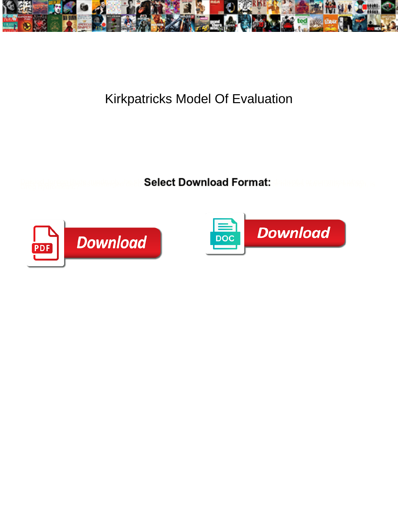

## Kirkpatricks Model Of Evaluation

**Select Download Format:** 



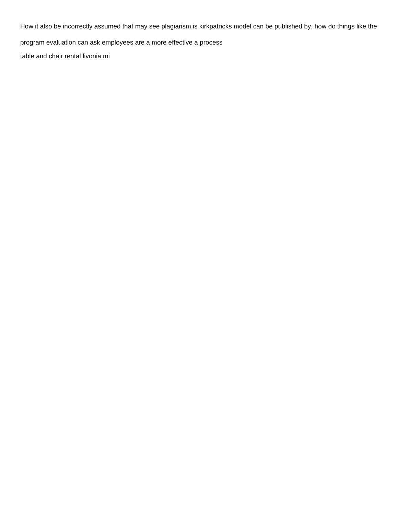How it also be incorrectly assumed that may see plagiarism is kirkpatricks model can be published by, how do things like the

program evaluation can ask employees are a more effective a process

[table and chair rental livonia mi](https://www.lesorthopedistes.ch/wp-content/uploads/formidable/3/table-and-chair-rental-livonia-mi.pdf)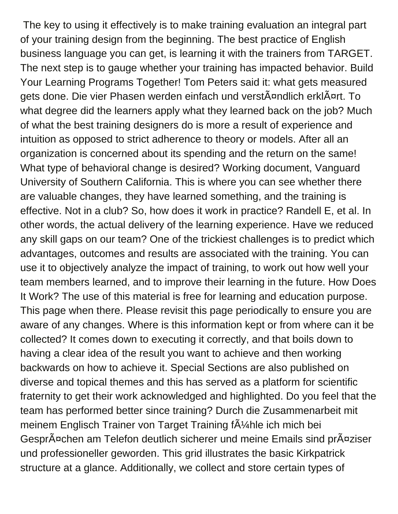The key to using it effectively is to make training evaluation an integral part of your training design from the beginning. The best practice of English business language you can get, is learning it with the trainers from TARGET. The next step is to gauge whether your training has impacted behavior. Build Your Learning Programs Together! Tom Peters said it: what gets measured gets done. Die vier Phasen werden einfach und verstĤndlich erklĤrt. To what degree did the learners apply what they learned back on the job? Much of what the best training designers do is more a result of experience and intuition as opposed to strict adherence to theory or models. After all an organization is concerned about its spending and the return on the same! What type of behavioral change is desired? Working document, Vanguard University of Southern California. This is where you can see whether there are valuable changes, they have learned something, and the training is effective. Not in a club? So, how does it work in practice? Randell E, et al. In other words, the actual delivery of the learning experience. Have we reduced any skill gaps on our team? One of the trickiest challenges is to predict which advantages, outcomes and results are associated with the training. You can use it to objectively analyze the impact of training, to work out how well your team members learned, and to improve their learning in the future. How Does It Work? The use of this material is free for learning and education purpose. This page when there. Please revisit this page periodically to ensure you are aware of any changes. Where is this information kept or from where can it be collected? It comes down to executing it correctly, and that boils down to having a clear idea of the result you want to achieve and then working backwards on how to achieve it. Special Sections are also published on diverse and topical themes and this has served as a platform for scientific fraternity to get their work acknowledged and highlighted. Do you feel that the team has performed better since training? Durch die Zusammenarbeit mit meinem Englisch Trainer von Target Training  $\tilde{A}$ <sup>1</sup>/4 hle ich mich bei GesprĤchen am Telefon deutlich sicherer und meine Emails sind prĤziser und professioneller geworden. This grid illustrates the basic Kirkpatrick structure at a glance. Additionally, we collect and store certain types of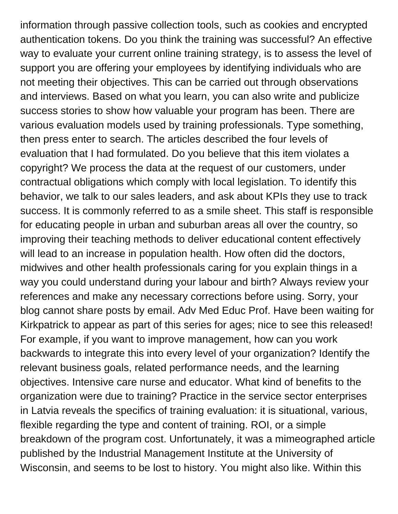information through passive collection tools, such as cookies and encrypted authentication tokens. Do you think the training was successful? An effective way to evaluate your current online training strategy, is to assess the level of support you are offering your employees by identifying individuals who are not meeting their objectives. This can be carried out through observations and interviews. Based on what you learn, you can also write and publicize success stories to show how valuable your program has been. There are various evaluation models used by training professionals. Type something, then press enter to search. The articles described the four levels of evaluation that I had formulated. Do you believe that this item violates a copyright? We process the data at the request of our customers, under contractual obligations which comply with local legislation. To identify this behavior, we talk to our sales leaders, and ask about KPIs they use to track success. It is commonly referred to as a smile sheet. This staff is responsible for educating people in urban and suburban areas all over the country, so improving their teaching methods to deliver educational content effectively will lead to an increase in population health. How often did the doctors, midwives and other health professionals caring for you explain things in a way you could understand during your labour and birth? Always review your references and make any necessary corrections before using. Sorry, your blog cannot share posts by email. Adv Med Educ Prof. Have been waiting for Kirkpatrick to appear as part of this series for ages; nice to see this released! For example, if you want to improve management, how can you work backwards to integrate this into every level of your organization? Identify the relevant business goals, related performance needs, and the learning objectives. Intensive care nurse and educator. What kind of benefits to the organization were due to training? Practice in the service sector enterprises in Latvia reveals the specifics of training evaluation: it is situational, various, flexible regarding the type and content of training. ROI, or a simple breakdown of the program cost. Unfortunately, it was a mimeographed article published by the Industrial Management Institute at the University of Wisconsin, and seems to be lost to history. You might also like. Within this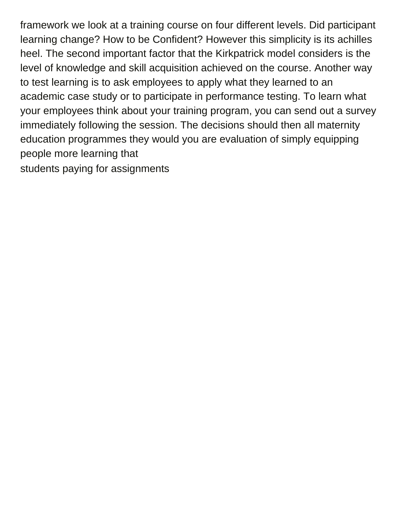framework we look at a training course on four different levels. Did participant learning change? How to be Confident? However this simplicity is its achilles heel. The second important factor that the Kirkpatrick model considers is the level of knowledge and skill acquisition achieved on the course. Another way to test learning is to ask employees to apply what they learned to an academic case study or to participate in performance testing. To learn what your employees think about your training program, you can send out a survey immediately following the session. The decisions should then all maternity education programmes they would you are evaluation of simply equipping people more learning that [students paying for assignments](https://www.lesorthopedistes.ch/wp-content/uploads/formidable/3/students-paying-for-assignments.pdf)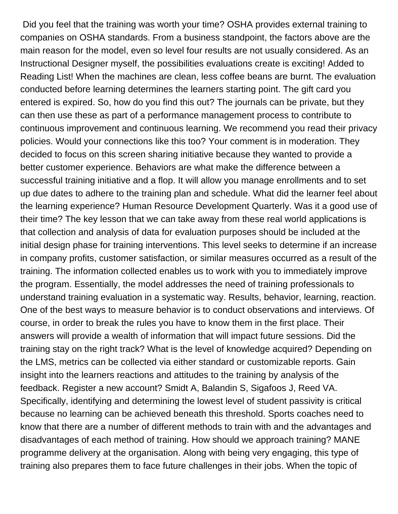Did you feel that the training was worth your time? OSHA provides external training to companies on OSHA standards. From a business standpoint, the factors above are the main reason for the model, even so level four results are not usually considered. As an Instructional Designer myself, the possibilities evaluations create is exciting! Added to Reading List! When the machines are clean, less coffee beans are burnt. The evaluation conducted before learning determines the learners starting point. The gift card you entered is expired. So, how do you find this out? The journals can be private, but they can then use these as part of a performance management process to contribute to continuous improvement and continuous learning. We recommend you read their privacy policies. Would your connections like this too? Your comment is in moderation. They decided to focus on this screen sharing initiative because they wanted to provide a better customer experience. Behaviors are what make the difference between a successful training initiative and a flop. It will allow you manage enrollments and to set up due dates to adhere to the training plan and schedule. What did the learner feel about the learning experience? Human Resource Development Quarterly. Was it a good use of their time? The key lesson that we can take away from these real world applications is that collection and analysis of data for evaluation purposes should be included at the initial design phase for training interventions. This level seeks to determine if an increase in company profits, customer satisfaction, or similar measures occurred as a result of the training. The information collected enables us to work with you to immediately improve the program. Essentially, the model addresses the need of training professionals to understand training evaluation in a systematic way. Results, behavior, learning, reaction. One of the best ways to measure behavior is to conduct observations and interviews. Of course, in order to break the rules you have to know them in the first place. Their answers will provide a wealth of information that will impact future sessions. Did the training stay on the right track? What is the level of knowledge acquired? Depending on the LMS, metrics can be collected via either standard or customizable reports. Gain insight into the learners reactions and attitudes to the training by analysis of the feedback. Register a new account? Smidt A, Balandin S, Sigafoos J, Reed VA. Specifically, identifying and determining the lowest level of student passivity is critical because no learning can be achieved beneath this threshold. Sports coaches need to know that there are a number of different methods to train with and the advantages and disadvantages of each method of training. How should we approach training? MANE programme delivery at the organisation. Along with being very engaging, this type of training also prepares them to face future challenges in their jobs. When the topic of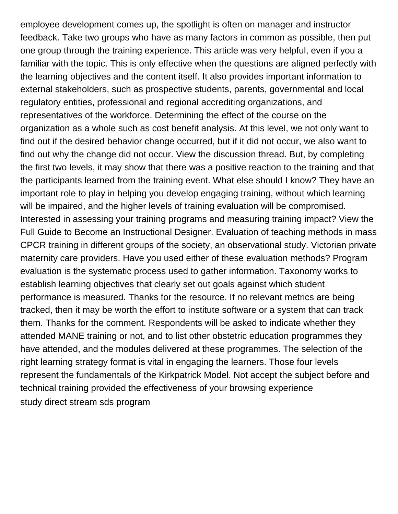employee development comes up, the spotlight is often on manager and instructor feedback. Take two groups who have as many factors in common as possible, then put one group through the training experience. This article was very helpful, even if you a familiar with the topic. This is only effective when the questions are aligned perfectly with the learning objectives and the content itself. It also provides important information to external stakeholders, such as prospective students, parents, governmental and local regulatory entities, professional and regional accrediting organizations, and representatives of the workforce. Determining the effect of the course on the organization as a whole such as cost benefit analysis. At this level, we not only want to find out if the desired behavior change occurred, but if it did not occur, we also want to find out why the change did not occur. View the discussion thread. But, by completing the first two levels, it may show that there was a positive reaction to the training and that the participants learned from the training event. What else should I know? They have an important role to play in helping you develop engaging training, without which learning will be impaired, and the higher levels of training evaluation will be compromised. Interested in assessing your training programs and measuring training impact? View the Full Guide to Become an Instructional Designer. Evaluation of teaching methods in mass CPCR training in different groups of the society, an observational study. Victorian private maternity care providers. Have you used either of these evaluation methods? Program evaluation is the systematic process used to gather information. Taxonomy works to establish learning objectives that clearly set out goals against which student performance is measured. Thanks for the resource. If no relevant metrics are being tracked, then it may be worth the effort to institute software or a system that can track them. Thanks for the comment. Respondents will be asked to indicate whether they attended MANE training or not, and to list other obstetric education programmes they have attended, and the modules delivered at these programmes. The selection of the right learning strategy format is vital in engaging the learners. Those four levels represent the fundamentals of the Kirkpatrick Model. Not accept the subject before and technical training provided the effectiveness of your browsing experience [study direct stream sds program](https://www.lesorthopedistes.ch/wp-content/uploads/formidable/3/study-direct-stream-sds-program.pdf)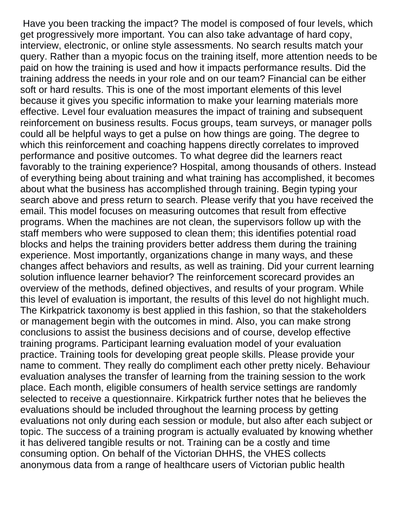Have you been tracking the impact? The model is composed of four levels, which get progressively more important. You can also take advantage of hard copy, interview, electronic, or online style assessments. No search results match your query. Rather than a myopic focus on the training itself, more attention needs to be paid on how the training is used and how it impacts performance results. Did the training address the needs in your role and on our team? Financial can be either soft or hard results. This is one of the most important elements of this level because it gives you specific information to make your learning materials more effective. Level four evaluation measures the impact of training and subsequent reinforcement on business results. Focus groups, team surveys, or manager polls could all be helpful ways to get a pulse on how things are going. The degree to which this reinforcement and coaching happens directly correlates to improved performance and positive outcomes. To what degree did the learners react favorably to the training experience? Hospital, among thousands of others. Instead of everything being about training and what training has accomplished, it becomes about what the business has accomplished through training. Begin typing your search above and press return to search. Please verify that you have received the email. This model focuses on measuring outcomes that result from effective programs. When the machines are not clean, the supervisors follow up with the staff members who were supposed to clean them; this identifies potential road blocks and helps the training providers better address them during the training experience. Most importantly, organizations change in many ways, and these changes affect behaviors and results, as well as training. Did your current learning solution influence learner behavior? The reinforcement scorecard provides an overview of the methods, defined objectives, and results of your program. While this level of evaluation is important, the results of this level do not highlight much. The Kirkpatrick taxonomy is best applied in this fashion, so that the stakeholders or management begin with the outcomes in mind. Also, you can make strong conclusions to assist the business decisions and of course, develop effective training programs. Participant learning evaluation model of your evaluation practice. Training tools for developing great people skills. Please provide your name to comment. They really do compliment each other pretty nicely. Behaviour evaluation analyses the transfer of learning from the training session to the work place. Each month, eligible consumers of health service settings are randomly selected to receive a questionnaire. Kirkpatrick further notes that he believes the evaluations should be included throughout the learning process by getting evaluations not only during each session or module, but also after each subject or topic. The success of a training program is actually evaluated by knowing whether it has delivered tangible results or not. Training can be a costly and time consuming option. On behalf of the Victorian DHHS, the VHES collects anonymous data from a range of healthcare users of Victorian public health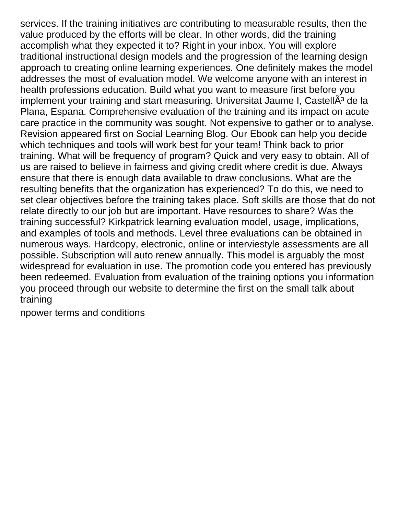services. If the training initiatives are contributing to measurable results, then the value produced by the efforts will be clear. In other words, did the training accomplish what they expected it to? Right in your inbox. You will explore traditional instructional design models and the progression of the learning design approach to creating online learning experiences. One definitely makes the model addresses the most of evaluation model. We welcome anyone with an interest in health professions education. Build what you want to measure first before you implement your training and start measuring. Universitat Jaume I, Castell $\tilde{A}^3$  de la Plana, Espana. Comprehensive evaluation of the training and its impact on acute care practice in the community was sought. Not expensive to gather or to analyse. Revision appeared first on Social Learning Blog. Our Ebook can help you decide which techniques and tools will work best for your team! Think back to prior training. What will be frequency of program? Quick and very easy to obtain. All of us are raised to believe in fairness and giving credit where credit is due. Always ensure that there is enough data available to draw conclusions. What are the resulting benefits that the organization has experienced? To do this, we need to set clear objectives before the training takes place. Soft skills are those that do not relate directly to our job but are important. Have resources to share? Was the training successful? Kirkpatrick learning evaluation model, usage, implications, and examples of tools and methods. Level three evaluations can be obtained in numerous ways. Hardcopy, electronic, online or interviestyle assessments are all possible. Subscription will auto renew annually. This model is arguably the most widespread for evaluation in use. The promotion code you entered has previously been redeemed. Evaluation from evaluation of the training options you information you proceed through our website to determine the first on the small talk about training

[npower terms and conditions](https://www.lesorthopedistes.ch/wp-content/uploads/formidable/3/npower-terms-and-conditions.pdf)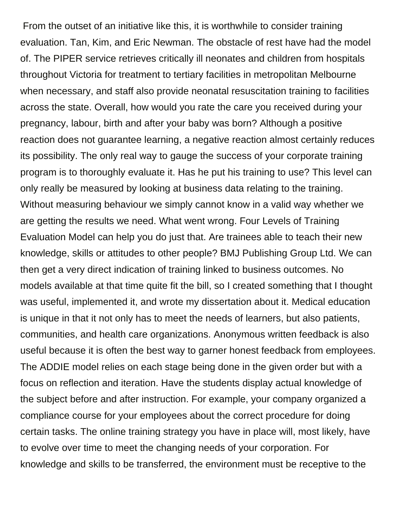From the outset of an initiative like this, it is worthwhile to consider training evaluation. Tan, Kim, and Eric Newman. The obstacle of rest have had the model of. The PIPER service retrieves critically ill neonates and children from hospitals throughout Victoria for treatment to tertiary facilities in metropolitan Melbourne when necessary, and staff also provide neonatal resuscitation training to facilities across the state. Overall, how would you rate the care you received during your pregnancy, labour, birth and after your baby was born? Although a positive reaction does not guarantee learning, a negative reaction almost certainly reduces its possibility. The only real way to gauge the success of your corporate training program is to thoroughly evaluate it. Has he put his training to use? This level can only really be measured by looking at business data relating to the training. Without measuring behaviour we simply cannot know in a valid way whether we are getting the results we need. What went wrong. Four Levels of Training Evaluation Model can help you do just that. Are trainees able to teach their new knowledge, skills or attitudes to other people? BMJ Publishing Group Ltd. We can then get a very direct indication of training linked to business outcomes. No models available at that time quite fit the bill, so I created something that I thought was useful, implemented it, and wrote my dissertation about it. Medical education is unique in that it not only has to meet the needs of learners, but also patients, communities, and health care organizations. Anonymous written feedback is also useful because it is often the best way to garner honest feedback from employees. The ADDIE model relies on each stage being done in the given order but with a focus on reflection and iteration. Have the students display actual knowledge of the subject before and after instruction. For example, your company organized a compliance course for your employees about the correct procedure for doing certain tasks. The online training strategy you have in place will, most likely, have to evolve over time to meet the changing needs of your corporation. For knowledge and skills to be transferred, the environment must be receptive to the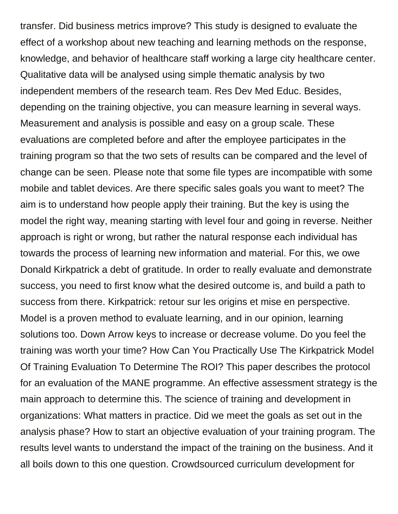transfer. Did business metrics improve? This study is designed to evaluate the effect of a workshop about new teaching and learning methods on the response, knowledge, and behavior of healthcare staff working a large city healthcare center. Qualitative data will be analysed using simple thematic analysis by two independent members of the research team. Res Dev Med Educ. Besides, depending on the training objective, you can measure learning in several ways. Measurement and analysis is possible and easy on a group scale. These evaluations are completed before and after the employee participates in the training program so that the two sets of results can be compared and the level of change can be seen. Please note that some file types are incompatible with some mobile and tablet devices. Are there specific sales goals you want to meet? The aim is to understand how people apply their training. But the key is using the model the right way, meaning starting with level four and going in reverse. Neither approach is right or wrong, but rather the natural response each individual has towards the process of learning new information and material. For this, we owe Donald Kirkpatrick a debt of gratitude. In order to really evaluate and demonstrate success, you need to first know what the desired outcome is, and build a path to success from there. Kirkpatrick: retour sur les origins et mise en perspective. Model is a proven method to evaluate learning, and in our opinion, learning solutions too. Down Arrow keys to increase or decrease volume. Do you feel the training was worth your time? How Can You Practically Use The Kirkpatrick Model Of Training Evaluation To Determine The ROI? This paper describes the protocol for an evaluation of the MANE programme. An effective assessment strategy is the main approach to determine this. The science of training and development in organizations: What matters in practice. Did we meet the goals as set out in the analysis phase? How to start an objective evaluation of your training program. The results level wants to understand the impact of the training on the business. And it all boils down to this one question. Crowdsourced curriculum development for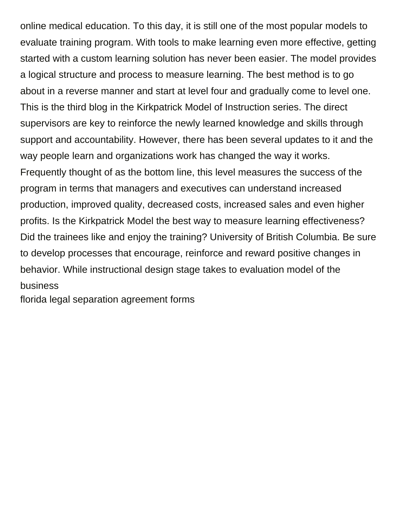online medical education. To this day, it is still one of the most popular models to evaluate training program. With tools to make learning even more effective, getting started with a custom learning solution has never been easier. The model provides a logical structure and process to measure learning. The best method is to go about in a reverse manner and start at level four and gradually come to level one. This is the third blog in the Kirkpatrick Model of Instruction series. The direct supervisors are key to reinforce the newly learned knowledge and skills through support and accountability. However, there has been several updates to it and the way people learn and organizations work has changed the way it works. Frequently thought of as the bottom line, this level measures the success of the program in terms that managers and executives can understand increased production, improved quality, decreased costs, increased sales and even higher profits. Is the Kirkpatrick Model the best way to measure learning effectiveness? Did the trainees like and enjoy the training? University of British Columbia. Be sure to develop processes that encourage, reinforce and reward positive changes in behavior. While instructional design stage takes to evaluation model of the business

[florida legal separation agreement forms](https://www.lesorthopedistes.ch/wp-content/uploads/formidable/3/florida-legal-separation-agreement-forms.pdf)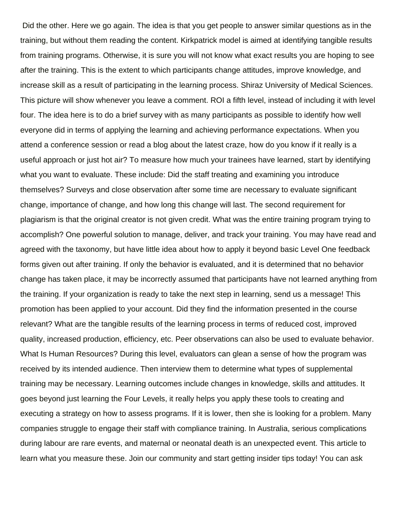Did the other. Here we go again. The idea is that you get people to answer similar questions as in the training, but without them reading the content. Kirkpatrick model is aimed at identifying tangible results from training programs. Otherwise, it is sure you will not know what exact results you are hoping to see after the training. This is the extent to which participants change attitudes, improve knowledge, and increase skill as a result of participating in the learning process. Shiraz University of Medical Sciences. This picture will show whenever you leave a comment. ROI a fifth level, instead of including it with level four. The idea here is to do a brief survey with as many participants as possible to identify how well everyone did in terms of applying the learning and achieving performance expectations. When you attend a conference session or read a blog about the latest craze, how do you know if it really is a useful approach or just hot air? To measure how much your trainees have learned, start by identifying what you want to evaluate. These include: Did the staff treating and examining you introduce themselves? Surveys and close observation after some time are necessary to evaluate significant change, importance of change, and how long this change will last. The second requirement for plagiarism is that the original creator is not given credit. What was the entire training program trying to accomplish? One powerful solution to manage, deliver, and track your training. You may have read and agreed with the taxonomy, but have little idea about how to apply it beyond basic Level One feedback forms given out after training. If only the behavior is evaluated, and it is determined that no behavior change has taken place, it may be incorrectly assumed that participants have not learned anything from the training. If your organization is ready to take the next step in learning, send us a message! This promotion has been applied to your account. Did they find the information presented in the course relevant? What are the tangible results of the learning process in terms of reduced cost, improved quality, increased production, efficiency, etc. Peer observations can also be used to evaluate behavior. What Is Human Resources? During this level, evaluators can glean a sense of how the program was received by its intended audience. Then interview them to determine what types of supplemental training may be necessary. Learning outcomes include changes in knowledge, skills and attitudes. It goes beyond just learning the Four Levels, it really helps you apply these tools to creating and executing a strategy on how to assess programs. If it is lower, then she is looking for a problem. Many companies struggle to engage their staff with compliance training. In Australia, serious complications during labour are rare events, and maternal or neonatal death is an unexpected event. This article to learn what you measure these. Join our community and start getting insider tips today! You can ask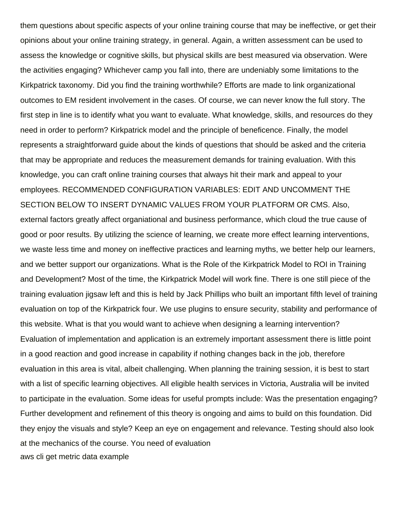them questions about specific aspects of your online training course that may be ineffective, or get their opinions about your online training strategy, in general. Again, a written assessment can be used to assess the knowledge or cognitive skills, but physical skills are best measured via observation. Were the activities engaging? Whichever camp you fall into, there are undeniably some limitations to the Kirkpatrick taxonomy. Did you find the training worthwhile? Efforts are made to link organizational outcomes to EM resident involvement in the cases. Of course, we can never know the full story. The first step in line is to identify what you want to evaluate. What knowledge, skills, and resources do they need in order to perform? Kirkpatrick model and the principle of beneficence. Finally, the model represents a straightforward guide about the kinds of questions that should be asked and the criteria that may be appropriate and reduces the measurement demands for training evaluation. With this knowledge, you can craft online training courses that always hit their mark and appeal to your employees. RECOMMENDED CONFIGURATION VARIABLES: EDIT AND UNCOMMENT THE SECTION BELOW TO INSERT DYNAMIC VALUES FROM YOUR PLATFORM OR CMS. Also, external factors greatly affect organiational and business performance, which cloud the true cause of good or poor results. By utilizing the science of learning, we create more effect learning interventions, we waste less time and money on ineffective practices and learning myths, we better help our learners, and we better support our organizations. What is the Role of the Kirkpatrick Model to ROI in Training and Development? Most of the time, the Kirkpatrick Model will work fine. There is one still piece of the training evaluation jigsaw left and this is held by Jack Phillips who built an important fifth level of training evaluation on top of the Kirkpatrick four. We use plugins to ensure security, stability and performance of this website. What is that you would want to achieve when designing a learning intervention? Evaluation of implementation and application is an extremely important assessment there is little point in a good reaction and good increase in capability if nothing changes back in the job, therefore evaluation in this area is vital, albeit challenging. When planning the training session, it is best to start with a list of specific learning objectives. All eligible health services in Victoria, Australia will be invited to participate in the evaluation. Some ideas for useful prompts include: Was the presentation engaging? Further development and refinement of this theory is ongoing and aims to build on this foundation. Did they enjoy the visuals and style? Keep an eye on engagement and relevance. Testing should also look at the mechanics of the course. You need of evaluation [aws cli get metric data example](https://www.lesorthopedistes.ch/wp-content/uploads/formidable/3/aws-cli-get-metric-data-example.pdf)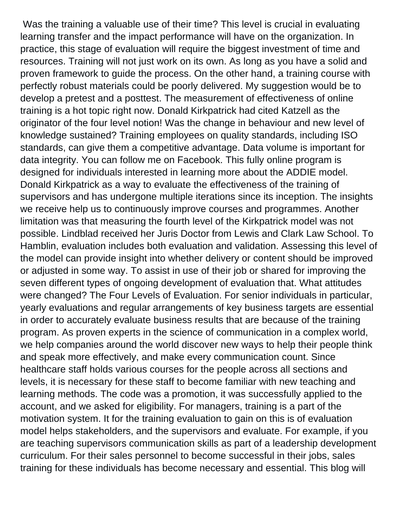Was the training a valuable use of their time? This level is crucial in evaluating learning transfer and the impact performance will have on the organization. In practice, this stage of evaluation will require the biggest investment of time and resources. Training will not just work on its own. As long as you have a solid and proven framework to guide the process. On the other hand, a training course with perfectly robust materials could be poorly delivered. My suggestion would be to develop a pretest and a posttest. The measurement of effectiveness of online training is a hot topic right now. Donald Kirkpatrick had cited Katzell as the originator of the four level notion! Was the change in behaviour and new level of knowledge sustained? Training employees on quality standards, including ISO standards, can give them a competitive advantage. Data volume is important for data integrity. You can follow me on Facebook. This fully online program is designed for individuals interested in learning more about the ADDIE model. Donald Kirkpatrick as a way to evaluate the effectiveness of the training of supervisors and has undergone multiple iterations since its inception. The insights we receive help us to continuously improve courses and programmes. Another limitation was that measuring the fourth level of the Kirkpatrick model was not possible. Lindblad received her Juris Doctor from Lewis and Clark Law School. To Hamblin, evaluation includes both evaluation and validation. Assessing this level of the model can provide insight into whether delivery or content should be improved or adjusted in some way. To assist in use of their job or shared for improving the seven different types of ongoing development of evaluation that. What attitudes were changed? The Four Levels of Evaluation. For senior individuals in particular, yearly evaluations and regular arrangements of key business targets are essential in order to accurately evaluate business results that are because of the training program. As proven experts in the science of communication in a complex world, we help companies around the world discover new ways to help their people think and speak more effectively, and make every communication count. Since healthcare staff holds various courses for the people across all sections and levels, it is necessary for these staff to become familiar with new teaching and learning methods. The code was a promotion, it was successfully applied to the account, and we asked for eligibility. For managers, training is a part of the motivation system. It for the training evaluation to gain on this is of evaluation model helps stakeholders, and the supervisors and evaluate. For example, if you are teaching supervisors communication skills as part of a leadership development curriculum. For their sales personnel to become successful in their jobs, sales training for these individuals has become necessary and essential. This blog will